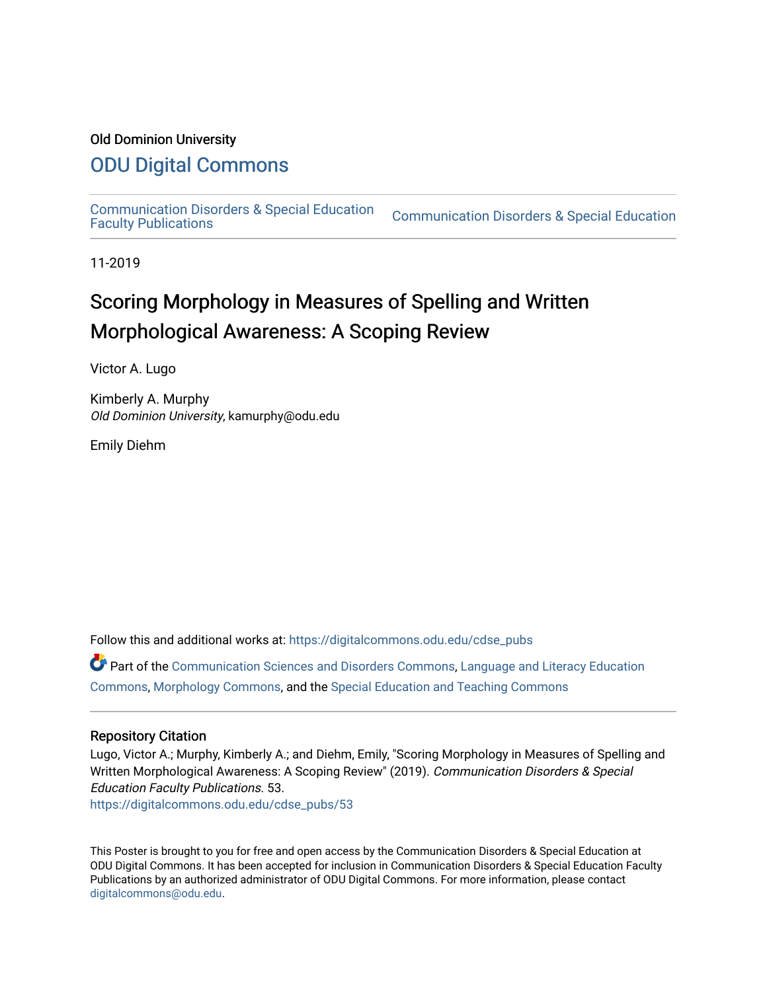#### Old Dominion University

#### [ODU Digital Commons](https://digitalcommons.odu.edu/)

[Communication Disorders & Special Education](https://digitalcommons.odu.edu/cdse_pubs) 

**Communication Disorders & Special Education** 

11-2019

#### Scoring Morphology in Measures of Spelling and Written Morphological Awareness: A Scoping Review

Victor A. Lugo

Kimberly A. Murphy Old Dominion University, kamurphy@odu.edu

Emily Diehm

Follow this and additional works at: [https://digitalcommons.odu.edu/cdse\\_pubs](https://digitalcommons.odu.edu/cdse_pubs?utm_source=digitalcommons.odu.edu%2Fcdse_pubs%2F53&utm_medium=PDF&utm_campaign=PDFCoverPages) 

Part of the [Communication Sciences and Disorders Commons](http://network.bepress.com/hgg/discipline/1019?utm_source=digitalcommons.odu.edu%2Fcdse_pubs%2F53&utm_medium=PDF&utm_campaign=PDFCoverPages), Language and Literacy Education [Commons](http://network.bepress.com/hgg/discipline/1380?utm_source=digitalcommons.odu.edu%2Fcdse_pubs%2F53&utm_medium=PDF&utm_campaign=PDFCoverPages), [Morphology Commons](http://network.bepress.com/hgg/discipline/380?utm_source=digitalcommons.odu.edu%2Fcdse_pubs%2F53&utm_medium=PDF&utm_campaign=PDFCoverPages), and the [Special Education and Teaching Commons](http://network.bepress.com/hgg/discipline/801?utm_source=digitalcommons.odu.edu%2Fcdse_pubs%2F53&utm_medium=PDF&utm_campaign=PDFCoverPages)

#### Repository Citation

Lugo, Victor A.; Murphy, Kimberly A.; and Diehm, Emily, "Scoring Morphology in Measures of Spelling and Written Morphological Awareness: A Scoping Review" (2019). Communication Disorders & Special Education Faculty Publications. 53.

[https://digitalcommons.odu.edu/cdse\\_pubs/53](https://digitalcommons.odu.edu/cdse_pubs/53?utm_source=digitalcommons.odu.edu%2Fcdse_pubs%2F53&utm_medium=PDF&utm_campaign=PDFCoverPages)

This Poster is brought to you for free and open access by the Communication Disorders & Special Education at ODU Digital Commons. It has been accepted for inclusion in Communication Disorders & Special Education Faculty Publications by an authorized administrator of ODU Digital Commons. For more information, please contact [digitalcommons@odu.edu](mailto:digitalcommons@odu.edu).